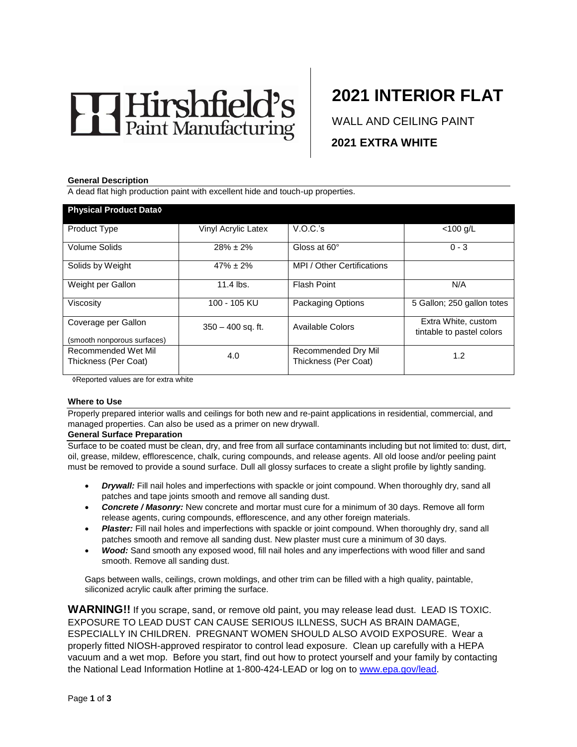# Hirshfield's

# **2021 INTERIOR FLAT**

WALL AND CEILING PAINT **2021 EXTRA WHITE** 

#### **General Description**

A dead flat high production paint with excellent hide and touch-up properties.

| <b>Physical Product Data0</b>                      |                     |                                             |                                                  |
|----------------------------------------------------|---------------------|---------------------------------------------|--------------------------------------------------|
| Product Type                                       | Vinyl Acrylic Latex | V.O.C.'s                                    | $<$ 100 g/L                                      |
| Volume Solids                                      | $28\% \pm 2\%$      | Gloss at 60°                                | $0 - 3$                                          |
| Solids by Weight                                   | $47\% \pm 2\%$      | MPI / Other Certifications                  |                                                  |
| Weight per Gallon                                  | 11.4 lbs.           | <b>Flash Point</b>                          | N/A                                              |
| Viscosity                                          | 100 - 105 KU        | Packaging Options                           | 5 Gallon; 250 gallon totes                       |
| Coverage per Gallon<br>(smooth nonporous surfaces) | $350 - 400$ sq. ft. | Available Colors                            | Extra White, custom<br>tintable to pastel colors |
| Recommended Wet Mil<br>Thickness (Per Coat)        | 4.0                 | Recommended Dry Mil<br>Thickness (Per Coat) | 1.2                                              |

◊Reported values are for extra white

#### **Where to Use**

Properly prepared interior walls and ceilings for both new and re-paint applications in residential, commercial, and managed properties. Can also be used as a primer on new drywall.

#### **General Surface Preparation**

Surface to be coated must be clean, dry, and free from all surface contaminants including but not limited to: dust, dirt, oil, grease, mildew, efflorescence, chalk, curing compounds, and release agents. All old loose and/or peeling paint must be removed to provide a sound surface. Dull all glossy surfaces to create a slight profile by lightly sanding.

- *Drywall:* Fill nail holes and imperfections with spackle or joint compound. When thoroughly dry, sand all patches and tape joints smooth and remove all sanding dust.
- *Concrete / Masonry:* New concrete and mortar must cure for a minimum of 30 days. Remove all form release agents, curing compounds, efflorescence, and any other foreign materials.
- **Plaster:** Fill nail holes and imperfections with spackle or joint compound. When thoroughly dry, sand all patches smooth and remove all sanding dust. New plaster must cure a minimum of 30 days.
- *Wood:* Sand smooth any exposed wood, fill nail holes and any imperfections with wood filler and sand smooth. Remove all sanding dust.

Gaps between walls, ceilings, crown moldings, and other trim can be filled with a high quality, paintable, siliconized acrylic caulk after priming the surface.

**WARNING!!** If you scrape, sand, or remove old paint, you may release lead dust. LEAD IS TOXIC. EXPOSURE TO LEAD DUST CAN CAUSE SERIOUS ILLNESS, SUCH AS BRAIN DAMAGE, ESPECIALLY IN CHILDREN. PREGNANT WOMEN SHOULD ALSO AVOID EXPOSURE. Wear a properly fitted NIOSH-approved respirator to control lead exposure. Clean up carefully with a HEPA vacuum and a wet mop. Before you start, find out how to protect yourself and your family by contacting the National Lead Information Hotline at 1-800-424-LEAD or log on to [www.epa.gov/lead.](http://www.epa.gov/lead)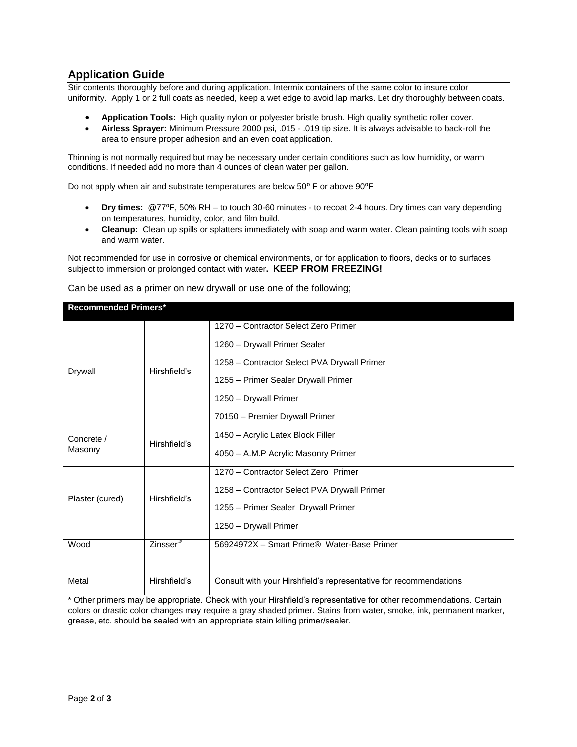# **Application Guide**

Stir contents thoroughly before and during application. Intermix containers of the same color to insure color uniformity. Apply 1 or 2 full coats as needed, keep a wet edge to avoid lap marks. Let dry thoroughly between coats.

- **Application Tools:** High quality nylon or polyester bristle brush. High quality synthetic roller cover.
- **Airless Sprayer:** Minimum Pressure 2000 psi, .015 .019 tip size. It is always advisable to back-roll the area to ensure proper adhesion and an even coat application.

Thinning is not normally required but may be necessary under certain conditions such as low humidity, or warm conditions. If needed add no more than 4 ounces of clean water per gallon.

Do not apply when air and substrate temperatures are below 50° F or above 90°F

- **Dry times:** @77⁰F, 50% RH to touch 30-60 minutes to recoat 2-4 hours. Dry times can vary depending on temperatures, humidity, color, and film build.
- **Cleanup:** Clean up spills or splatters immediately with soap and warm water. Clean painting tools with soap and warm water.

Not recommended for use in corrosive or chemical environments, or for application to floors, decks or to surfaces subject to immersion or prolonged contact with water**. KEEP FROM FREEZING!**

| <b>Recommended Primers*</b> |                      |                                                                   |  |
|-----------------------------|----------------------|-------------------------------------------------------------------|--|
|                             |                      | 1270 - Contractor Select Zero Primer                              |  |
| Drywall                     | Hirshfield's         | 1260 - Drywall Primer Sealer                                      |  |
|                             |                      | 1258 - Contractor Select PVA Drywall Primer                       |  |
|                             |                      | 1255 - Primer Sealer Drywall Primer                               |  |
|                             |                      | 1250 - Drywall Primer                                             |  |
| Concrete /                  | Hirshfield's         | 70150 - Premier Drywall Primer                                    |  |
|                             |                      | 1450 - Acrylic Latex Block Filler                                 |  |
| Masonry<br>Plaster (cured)  | Hirshfield's         | 4050 - A.M.P Acrylic Masonry Primer                               |  |
|                             |                      | 1270 - Contractor Select Zero Primer                              |  |
|                             |                      | 1258 - Contractor Select PVA Drywall Primer                       |  |
|                             |                      | 1255 - Primer Sealer Drywall Primer                               |  |
|                             |                      | 1250 - Drywall Primer                                             |  |
| Wood                        | Zinsser <sup>®</sup> | 56924972X - Smart Prime® Water-Base Primer                        |  |
|                             |                      |                                                                   |  |
| Metal                       | Hirshfield's         | Consult with your Hirshfield's representative for recommendations |  |

Can be used as a primer on new drywall or use one of the following;

\* Other primers may be appropriate. Check with your Hirshfield's representative for other recommendations. Certain colors or drastic color changes may require a gray shaded primer. Stains from water, smoke, ink, permanent marker, grease, etc. should be sealed with an appropriate stain killing primer/sealer.